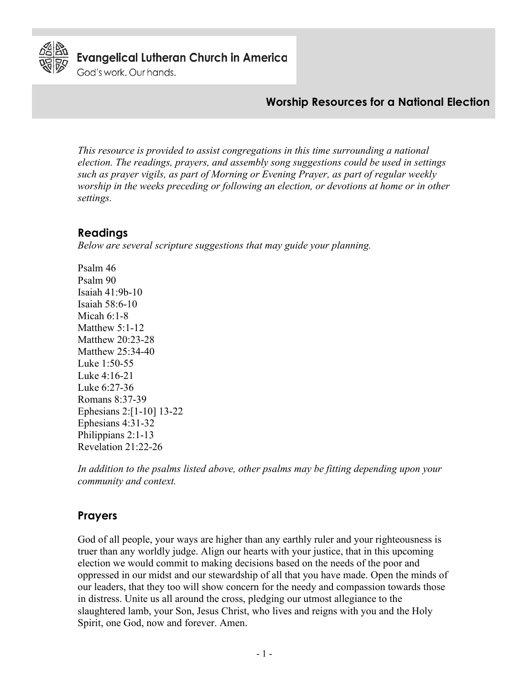

**Evangelical Lutheran Church in America** 

God's work. Our hands.

# **Worship Resources for a National Election**

*This resource is provided to assist congregations in this time surrounding a national election. The readings, prayers, and assembly song suggestions could be used in settings such as prayer vigils, as part of Morning or Evening Prayer, as part of regular weekly worship in the weeks preceding or following an election, or devotions at home or in other settings.*

## **Readings**

*Below are several scripture suggestions that may guide your planning.*

Psalm 46 Psalm 90 Isaiah 41:9b-10 Isaiah 58:6-10 Micah 6:1-8 Matthew 5:1-12 Matthew 20:23-28 Matthew 25:34-40 Luke 1:50-55 Luke 4:16-21 Luke 6:27-36 Romans 8:37-39 Ephesians 2:[1-10] 13-22 Ephesians 4:31-32 Philippians 2:1-13 Revelation 21:22-26

*In addition to the psalms listed above, other psalms may be fitting depending upon your community and context.*

# **Prayers**

God of all people, your ways are higher than any earthly ruler and your righteousness is truer than any worldly judge. Align our hearts with your justice, that in this upcoming election we would commit to making decisions based on the needs of the poor and oppressed in our midst and our stewardship of all that you have made. Open the minds of our leaders, that they too will show concern for the needy and compassion towards those in distress. Unite us all around the cross, pledging our utmost allegiance to the slaughtered lamb, your Son, Jesus Christ, who lives and reigns with you and the Holy Spirit, one God, now and forever. Amen.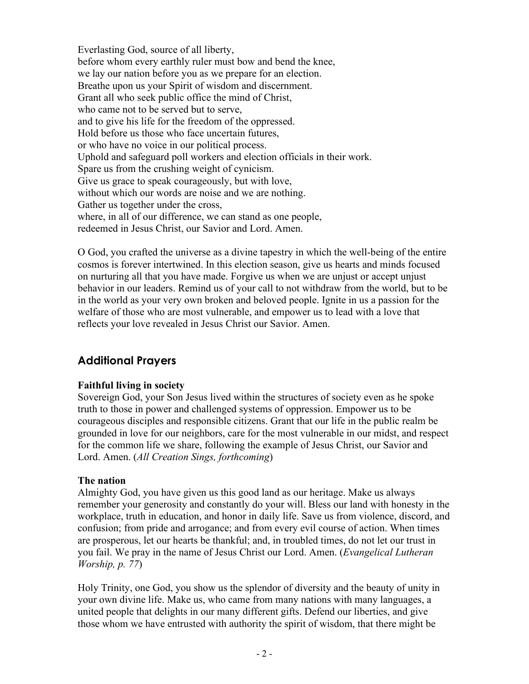Everlasting God, source of all liberty, before whom every earthly ruler must bow and bend the knee, we lay our nation before you as we prepare for an election. Breathe upon us your Spirit of wisdom and discernment. Grant all who seek public office the mind of Christ, who came not to be served but to serve, and to give his life for the freedom of the oppressed. Hold before us those who face uncertain futures, or who have no voice in our political process. Uphold and safeguard poll workers and election officials in their work. Spare us from the crushing weight of cynicism. Give us grace to speak courageously, but with love, without which our words are noise and we are nothing. Gather us together under the cross, where, in all of our difference, we can stand as one people, redeemed in Jesus Christ, our Savior and Lord. Amen.

O God, you crafted the universe as a divine tapestry in which the well-being of the entire cosmos is forever intertwined. In this election season, give us hearts and minds focused on nurturing all that you have made. Forgive us when we are unjust or accept unjust behavior in our leaders. Remind us of your call to not withdraw from the world, but to be in the world as your very own broken and beloved people. Ignite in us a passion for the welfare of those who are most vulnerable, and empower us to lead with a love that reflects your love revealed in Jesus Christ our Savior. Amen.

# **Additional Prayers**

#### **Faithful living in society**

Sovereign God, your Son Jesus lived within the structures of society even as he spoke truth to those in power and challenged systems of oppression. Empower us to be courageous disciples and responsible citizens. Grant that our life in the public realm be grounded in love for our neighbors, care for the most vulnerable in our midst, and respect for the common life we share, following the example of Jesus Christ, our Savior and Lord. Amen. (*All Creation Sings, forthcoming*)

#### **The nation**

Almighty God, you have given us this good land as our heritage. Make us always remember your generosity and constantly do your will. Bless our land with honesty in the workplace, truth in education, and honor in daily life. Save us from violence, discord, and confusion; from pride and arrogance; and from every evil course of action. When times are prosperous, let our hearts be thankful; and, in troubled times, do not let our trust in you fail. We pray in the name of Jesus Christ our Lord. Amen. (*Evangelical Lutheran Worship, p. 77*)

Holy Trinity, one God, you show us the splendor of diversity and the beauty of unity in your own divine life. Make us, who came from many nations with many languages, a united people that delights in our many different gifts. Defend our liberties, and give those whom we have entrusted with authority the spirit of wisdom, that there might be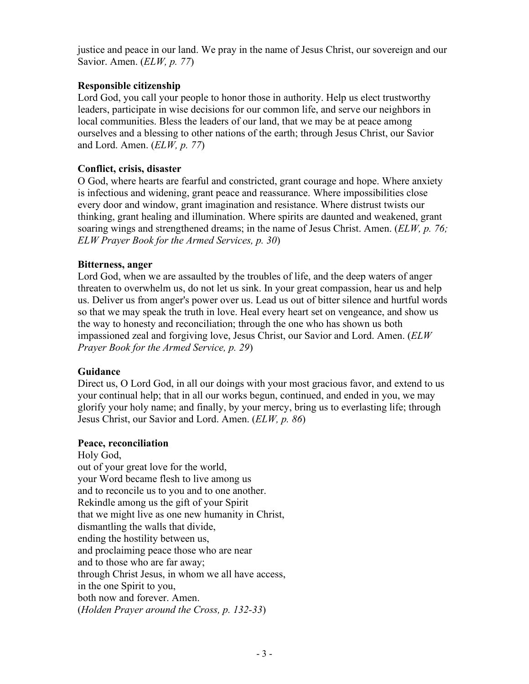justice and peace in our land. We pray in the name of Jesus Christ, our sovereign and our Savior. Amen. (*ELW, p. 77*)

### **Responsible citizenship**

Lord God, you call your people to honor those in authority. Help us elect trustworthy leaders, participate in wise decisions for our common life, and serve our neighbors in local communities. Bless the leaders of our land, that we may be at peace among ourselves and a blessing to other nations of the earth; through Jesus Christ, our Savior and Lord. Amen. (*ELW, p. 77*)

### **Conflict, crisis, disaster**

O God, where hearts are fearful and constricted, grant courage and hope. Where anxiety is infectious and widening, grant peace and reassurance. Where impossibilities close every door and window, grant imagination and resistance. Where distrust twists our thinking, grant healing and illumination. Where spirits are daunted and weakened, grant soaring wings and strengthened dreams; in the name of Jesus Christ. Amen. (*ELW, p. 76; ELW Prayer Book for the Armed Services, p. 30*)

#### **Bitterness, anger**

Lord God, when we are assaulted by the troubles of life, and the deep waters of anger threaten to overwhelm us, do not let us sink. In your great compassion, hear us and help us. Deliver us from anger's power over us. Lead us out of bitter silence and hurtful words so that we may speak the truth in love. Heal every heart set on vengeance, and show us the way to honesty and reconciliation; through the one who has shown us both impassioned zeal and forgiving love, Jesus Christ, our Savior and Lord. Amen. (*ELW Prayer Book for the Armed Service, p. 29*)

### **Guidance**

Direct us, O Lord God, in all our doings with your most gracious favor, and extend to us your continual help; that in all our works begun, continued, and ended in you, we may glorify your holy name; and finally, by your mercy, bring us to everlasting life; through Jesus Christ, our Savior and Lord. Amen. (*ELW, p. 86*)

#### **Peace, reconciliation**

Holy God, out of your great love for the world, your Word became flesh to live among us and to reconcile us to you and to one another. Rekindle among us the gift of your Spirit that we might live as one new humanity in Christ, dismantling the walls that divide, ending the hostility between us, and proclaiming peace those who are near and to those who are far away; through Christ Jesus, in whom we all have access, in the one Spirit to you, both now and forever. Amen. (*Holden Prayer around the Cross, p. 132-33*)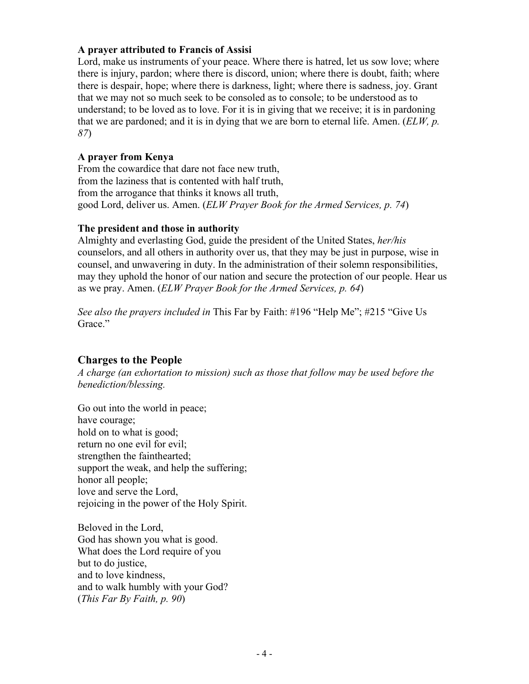#### **A prayer attributed to Francis of Assisi**

Lord, make us instruments of your peace. Where there is hatred, let us sow love; where there is injury, pardon; where there is discord, union; where there is doubt, faith; where there is despair, hope; where there is darkness, light; where there is sadness, joy. Grant that we may not so much seek to be consoled as to console; to be understood as to understand; to be loved as to love. For it is in giving that we receive; it is in pardoning that we are pardoned; and it is in dying that we are born to eternal life. Amen. (*ELW, p. 87*)

#### **A prayer from Kenya**

From the cowardice that dare not face new truth, from the laziness that is contented with half truth, from the arrogance that thinks it knows all truth, good Lord, deliver us. Amen. (*ELW Prayer Book for the Armed Services, p. 74*)

#### **The president and those in authority**

Almighty and everlasting God, guide the president of the United States, *her/his* counselors, and all others in authority over us, that they may be just in purpose, wise in counsel, and unwavering in duty. In the administration of their solemn responsibilities, may they uphold the honor of our nation and secure the protection of our people. Hear us as we pray. Amen. (*ELW Prayer Book for the Armed Services, p. 64*)

*See also the prayers included in* This Far by Faith: #196 "Help Me"; #215 "Give Us Grace."

### **Charges to the People**

*A charge (an exhortation to mission) such as those that follow may be used before the benediction/blessing.*

Go out into the world in peace; have courage; hold on to what is good; return no one evil for evil; strengthen the fainthearted; support the weak, and help the suffering; honor all people; love and serve the Lord, rejoicing in the power of the Holy Spirit.

Beloved in the Lord, God has shown you what is good. What does the Lord require of you but to do justice, and to love kindness, and to walk humbly with your God? (*This Far By Faith, p. 90*)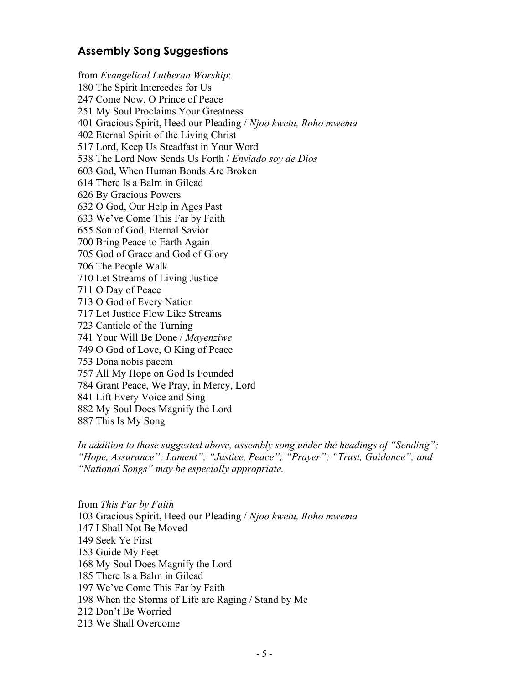# **Assembly Song Suggestions**

from *Evangelical Lutheran Worship*: 180 The Spirit Intercedes for Us 247 Come Now, O Prince of Peace 251 My Soul Proclaims Your Greatness 401 Gracious Spirit, Heed our Pleading / *Njoo kwetu, Roho mwema* 402 Eternal Spirit of the Living Christ 517 Lord, Keep Us Steadfast in Your Word 538 The Lord Now Sends Us Forth / *Enviado soy de Dios* 603 God, When Human Bonds Are Broken 614 There Is a Balm in Gilead 626 By Gracious Powers 632 O God, Our Help in Ages Past 633 We've Come This Far by Faith 655 Son of God, Eternal Savior 700 Bring Peace to Earth Again 705 God of Grace and God of Glory 706 The People Walk 710 Let Streams of Living Justice 711 O Day of Peace 713 O God of Every Nation 717 Let Justice Flow Like Streams 723 Canticle of the Turning 741 Your Will Be Done / *Mayenziwe* 749 O God of Love, O King of Peace 753 Dona nobis pacem 757 All My Hope on God Is Founded 784 Grant Peace, We Pray, in Mercy, Lord 841 Lift Every Voice and Sing 882 My Soul Does Magnify the Lord 887 This Is My Song

*In addition to those suggested above, assembly song under the headings of "Sending"; "Hope, Assurance"; Lament"; "Justice, Peace"; "Prayer"; "Trust, Guidance"; and "National Songs" may be especially appropriate.* 

from *This Far by Faith* 103 Gracious Spirit, Heed our Pleading / *Njoo kwetu, Roho mwema* 147 I Shall Not Be Moved 149 Seek Ye First 153 Guide My Feet 168 My Soul Does Magnify the Lord 185 There Is a Balm in Gilead 197 We've Come This Far by Faith 198 When the Storms of Life are Raging / Stand by Me 212 Don't Be Worried 213 We Shall Overcome